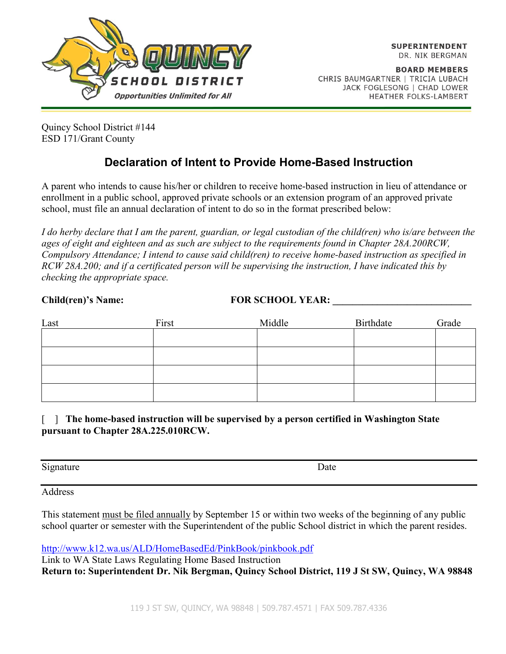

**BOARD MEMBERS** CHRIS BAUMGARTNER | TRICIA LUBACH JACK FOGLESONG | CHAD LOWER HEATHER FOLKS-LAMBERT

Quincy School District #144 ESD 171/Grant County

### **Declaration of Intent to Provide Home-Based Instruction**

A parent who intends to cause his/her or children to receive home-based instruction in lieu of attendance or enrollment in a public school, approved private schools or an extension program of an approved private school, must file an annual declaration of intent to do so in the format prescribed below:

*I do herby declare that I am the parent, guardian, or legal custodian of the child(ren) who is/are between the ages of eight and eighteen and as such are subject to the requirements found in Chapter 28A.200RCW, Compulsory Attendance; I intend to cause said child(ren) to receive home-based instruction as specified in RCW 28A.200; and if a certificated person will be supervising the instruction, I have indicated this by checking the appropriate space.*

Child(ren)'s Name: FOR SCHOOL YEAR:

| Last | First | Middle | Birthdate | Grade |
|------|-------|--------|-----------|-------|
|      |       |        |           |       |
|      |       |        |           |       |
|      |       |        |           |       |
|      |       |        |           |       |

[ ] **The home-based instruction will be supervised by a person certified in Washington State pursuant to Chapter 28A.225.010RCW.**

Signature Date

Address

This statement must be filed annually by September 15 or within two weeks of the beginning of any public school quarter or semester with the Superintendent of the public School district in which the parent resides.

<http://www.k12.wa.us/ALD/HomeBasedEd/PinkBook/pinkbook.pdf>

Link to WA State Laws Regulating Home Based Instruction **Return to: Superintendent Dr. Nik Bergman, Quincy School District, 119 J St SW, Quincy, WA 98848**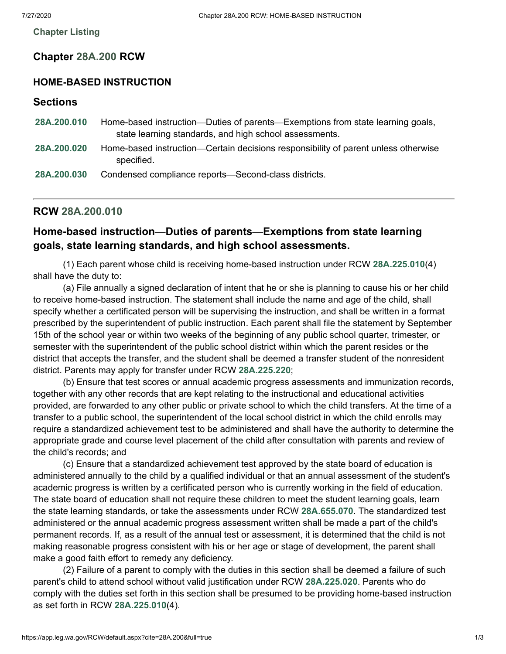**[Chapter](https://app.leg.wa.gov/RCW/default.aspx?cite=28A.200) Listing**

#### **Chapter [28A.200](http://app.leg.wa.gov/RCW/default.aspx?cite=28A.200) RCW**

#### **HOME-BASED INSTRUCTION**

| Sections |  |  |
|----------|--|--|
|          |  |  |

| 28A.200.010 | Home-based instruction—Duties of parents—Exemptions from state learning goals,                   |  |  |  |
|-------------|--------------------------------------------------------------------------------------------------|--|--|--|
|             | state learning standards, and high school assessments.                                           |  |  |  |
| 28A.200.020 | Home-based instruction—Certain decisions responsibility of parent unless otherwise<br>specified. |  |  |  |
| 28A.200.030 | Condensed compliance reports—Second-class districts.                                             |  |  |  |

#### <span id="page-1-0"></span>**RCW [28A.200.010](http://app.leg.wa.gov/RCW/default.aspx?cite=28A.200.010)**

#### **Home-based instruction—Duties of parents—Exemptions from state learning goals, state learning standards, and high school assessments.**

(1) Each parent whose child is receiving home-based instruction under RCW **[28A.225.010](http://app.leg.wa.gov/RCW/default.aspx?cite=28A.225.010)**(4) shall have the duty to:

(a) File annually a signed declaration of intent that he or she is planning to cause his or her child to receive home-based instruction. The statement shall include the name and age of the child, shall specify whether a certificated person will be supervising the instruction, and shall be written in a format prescribed by the superintendent of public instruction. Each parent shall file the statement by September 15th of the school year or within two weeks of the beginning of any public school quarter, trimester, or semester with the superintendent of the public school district within which the parent resides or the district that accepts the transfer, and the student shall be deemed a transfer student of the nonresident district. Parents may apply for transfer under RCW **[28A.225.220](http://app.leg.wa.gov/RCW/default.aspx?cite=28A.225.220)**;

(b) Ensure that test scores or annual academic progress assessments and immunization records, together with any other records that are kept relating to the instructional and educational activities provided, are forwarded to any other public or private school to which the child transfers. At the time of a transfer to a public school, the superintendent of the local school district in which the child enrolls may require a standardized achievement test to be administered and shall have the authority to determine the appropriate grade and course level placement of the child after consultation with parents and review of the child's records; and

(c) Ensure that a standardized achievement test approved by the state board of education is administered annually to the child by a qualified individual or that an annual assessment of the student's academic progress is written by a certificated person who is currently working in the field of education. The state board of education shall not require these children to meet the student learning goals, learn the state learning standards, or take the assessments under RCW **[28A.655.070](http://app.leg.wa.gov/RCW/default.aspx?cite=28A.655.070)**. The standardized test administered or the annual academic progress assessment written shall be made a part of the child's permanent records. If, as a result of the annual test or assessment, it is determined that the child is not making reasonable progress consistent with his or her age or stage of development, the parent shall make a good faith effort to remedy any deficiency.

(2) Failure of a parent to comply with the duties in this section shall be deemed a failure of such parent's child to attend school without valid justification under RCW **[28A.225.020](http://app.leg.wa.gov/RCW/default.aspx?cite=28A.225.020)**. Parents who do comply with the duties set forth in this section shall be presumed to be providing home-based instruction as set forth in RCW **[28A.225.010](http://app.leg.wa.gov/RCW/default.aspx?cite=28A.225.010)**(4).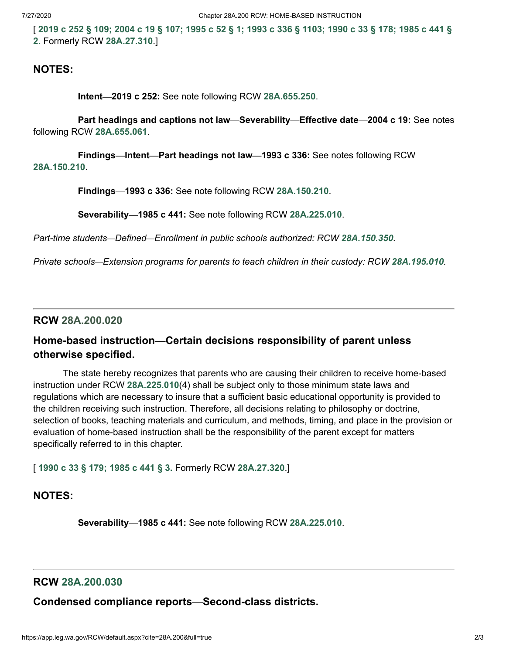[[2019](http://lawfilesext.leg.wa.gov/biennium/2019-20/Pdf/Bills/Session%20Laws/House/1599-S2.SL.pdf?cite=2019%20c%20252%20%C2%A7%20109;) c 252 § 109; [2004](http://lawfilesext.leg.wa.gov/biennium/2003-04/Pdf/Bills/Session%20Laws/House/2195-S.SL.pdf?cite=2004%20c%2019%20%C2%A7%20107;) c 19 § 107; [1995](http://lawfilesext.leg.wa.gov/biennium/1995-96/Pdf/Bills/Session%20Laws/Senate/5479-S.SL.pdf?cite=1995%20c%2052%20%C2%A7%201;) c 52 § 1; 1993 c 336 § [1103;](http://lawfilesext.leg.wa.gov/biennium/1993-94/Pdf/Bills/Session%20Laws/House/1209-S.SL.pdf?cite=1993%20c%20336%20%C2%A7%201103;) [1990](http://leg.wa.gov/CodeReviser/documents/sessionlaw/1990c33.pdf?cite=1990%20c%2033%20%C2%A7%20178;) c 33 § 178; 1985 c 441 § **2.** Formerly RCW **[28A.27.310](http://leg.wa.gov/CodeReviser/documents/sessionlaw/1985c441.pdf?cite=1985%20c%20441%20%C2%A7%202.)**.]

#### **NOTES:**

**Intent—2019 c 252:** See note following RCW **[28A.655.250](http://app.leg.wa.gov/RCW/default.aspx?cite=28A.655.250)**.

**Part headings and captions not law—Severability—Effective date—2004 c 19:** See notes following RCW **[28A.655.061](http://app.leg.wa.gov/RCW/default.aspx?cite=28A.655.061)**.

**Findings—Intent—Part headings not law—1993 c 336:** See notes following RCW **[28A.150.210](http://app.leg.wa.gov/RCW/default.aspx?cite=28A.150.210)**.

**Findings—1993 c 336:** See note following RCW **[28A.150.210](http://app.leg.wa.gov/RCW/default.aspx?cite=28A.150.210)**.

**Severability—1985 c 441:** See note following RCW **[28A.225.010](http://app.leg.wa.gov/RCW/default.aspx?cite=28A.225.010)**.

*Part-time students—Defined—Enrollment in public schools authorized: RCW [28A.150.350](http://app.leg.wa.gov/RCW/default.aspx?cite=28A.150.350).*

*Private schools—Extension programs for parents to teach children in their custody: RCW [28A.195.010](http://app.leg.wa.gov/RCW/default.aspx?cite=28A.195.010).*

<span id="page-2-0"></span>**RCW [28A.200.020](http://app.leg.wa.gov/RCW/default.aspx?cite=28A.200.020)**

#### **Home-based instruction—Certain decisions responsibility of parent unless otherwise specified.**

The state hereby recognizes that parents who are causing their children to receive home-based instruction under RCW **[28A.225.010](http://app.leg.wa.gov/RCW/default.aspx?cite=28A.225.010)**(4) shall be subject only to those minimum state laws and regulations which are necessary to insure that a sufficient basic educational opportunity is provided to the children receiving such instruction. Therefore, all decisions relating to philosophy or doctrine, selection of books, teaching materials and curriculum, and methods, timing, and place in the provision or evaluation of home-based instruction shall be the responsibility of the parent except for matters specifically referred to in this chapter.

[ **[1990](http://leg.wa.gov/CodeReviser/documents/sessionlaw/1990c33.pdf?cite=1990%20c%2033%20%C2%A7%20179;) c 33 § 179; [1985](http://leg.wa.gov/CodeReviser/documents/sessionlaw/1985c441.pdf?cite=1985%20c%20441%20%C2%A7%203.) c 441 § 3.** Formerly RCW **[28A.27.320](http://app.leg.wa.gov/RCW/default.aspx?cite=28A.27.320)**.]

#### **NOTES:**

**Severability—1985 c 441:** See note following RCW **[28A.225.010](http://app.leg.wa.gov/RCW/default.aspx?cite=28A.225.010)**.

#### <span id="page-2-1"></span>**RCW [28A.200.030](http://app.leg.wa.gov/RCW/default.aspx?cite=28A.200.030)**

**Condensed compliance reports—Second-class districts.**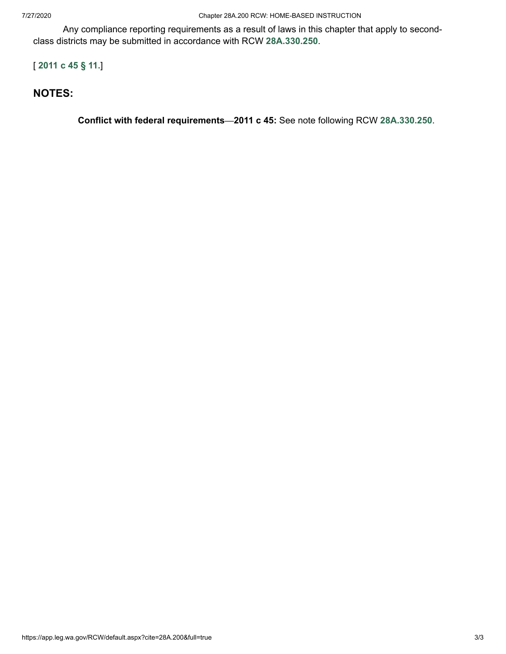Any compliance reporting requirements as a result of laws in this chapter that apply to secondclass districts may be submitted in accordance with RCW **[28A.330.250](http://app.leg.wa.gov/RCW/default.aspx?cite=28A.330.250)**.

#### [ **[2011](http://lawfilesext.leg.wa.gov/biennium/2011-12/Pdf/Bills/Session%20Laws/Senate/5184-S.SL.pdf?cite=2011%20c%2045%20%C2%A7%2011.) c 45 § 11.**]

#### **NOTES:**

**Conflict with federal requirements—2011 c 45:** See note following RCW **[28A.330.250](http://app.leg.wa.gov/RCW/default.aspx?cite=28A.330.250)**.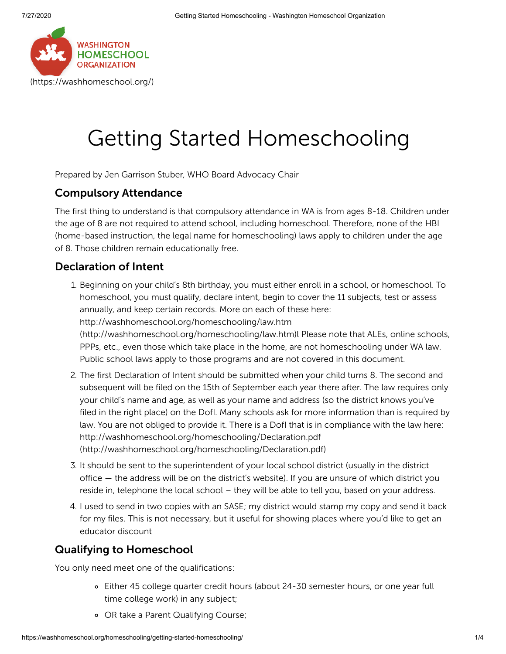

# Getting Started Homeschooling

Prepared by Jen Garrison Stuber, WHO Board Advocacy Chair

#### Compulsory Attendance

The first thing to understand is that compulsory attendance in WA is from ages 8-18. Children under the age of 8 are not required to attend school, including homeschool. Therefore, none of the HBI (home-based instruction, the legal name for homeschooling) laws apply to children under the age of 8. Those children remain educationally free.

#### Declaration of Intent

- 1. Beginning on your child's 8th birthday, you must either enroll in a school, or homeschool. To homeschool, you must qualify, declare intent, begin to cover the 11 subjects, test or assess annually, and keep certain records. More on each of these here: http://washhomeschool.org/homeschooling/law.htm [\(http://washhomeschool.org/homeschooling/law.htm\)](http://washhomeschool.org/homeschooling/law.htm)l Please note that ALEs, online schools, PPPs, etc., even those which take place in the home, are not homeschooling under WA law. Public school laws apply to those programs and are not covered in this document.
- 2. The first Declaration of Intent should be submitted when your child turns 8. The second and subsequent will be filed on the 15th of September each year there after. The law requires only your child's name and age, as well as your name and address (so the district knows you've filed in the right place) on the DofI. Many schools ask for more information than is required by law. You are not obliged to provide it. There is a DofI that is in compliance with the law here: http://washhomeschool.org/homeschooling/Declaration.pdf [\(http://washhomeschool.org/homeschooling/Declaration.pdf\)](http://washhomeschool.org/homeschooling/Declaration.pdf)
- 3. It should be sent to the superintendent of your local school district (usually in the district office — the address will be on the district's website). If you are unsure of which district you reside in, telephone the local school – they will be able to tell you, based on your address.
- 4. I used to send in two copies with an SASE; my district would stamp my copy and send it back for my files. This is not necessary, but it useful for showing places where you'd like to get an educator discount

#### Qualifying to Homeschool

You only need meet one of the qualifications:

- Either 45 college quarter credit hours (about 24-30 semester hours, or one year full time college work) in any subject;
- OR take a Parent Qualifying Course;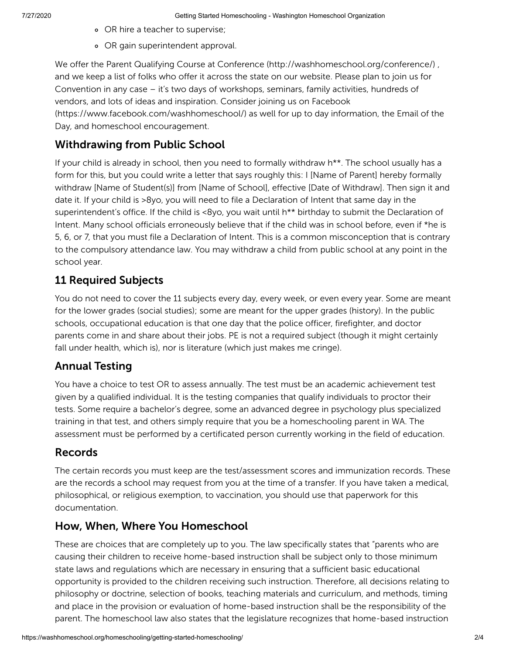- OR hire a teacher to supervise;
- OR gain superintendent approval.

We offer the Parent Qualifying Course at Conference [\(http://washhomeschool.org/conference/\)](http://washhomeschool.org/conference/) , and we keep a list of folks who offer it across the state on our website. Please plan to join us for Convention in any case – it's two days of workshops, seminars, family activities, hundreds of vendors, and lots of ideas and inspiration. Consider joining us on Facebook [\(https://www.facebook.com/washhomeschool/\)](https://www.facebook.com/washhomeschool/) as well for up to day information, the Email of the Day, and homeschool encouragement.

### Withdrawing from Public School

If your child is already in school, then you need to formally withdraw h\*\*. The school usually has a form for this, but you could write a letter that says roughly this: I [Name of Parent] hereby formally withdraw [Name of Student(s)] from [Name of School], effective [Date of Withdraw]. Then sign it and date it. If your child is >8yo, you will need to file a Declaration of Intent that same day in the superintendent's office. If the child is <8yo, you wait until h<sup>\*\*</sup> birthday to submit the Declaration of Intent. Many school officials erroneously believe that if the child was in school before, even if \*he is 5, 6, or 7, that you must file a Declaration of Intent. This is a common misconception that is contrary to the compulsory attendance law. You may withdraw a child from public school at any point in the school year.

### 11 Required Subjects

You do not need to cover the 11 subjects every day, every week, or even every year. Some are meant for the lower grades (social studies); some are meant for the upper grades (history). In the public schools, occupational education is that one day that the police officer, firefighter, and doctor parents come in and share about their jobs. PE is not a required subject (though it might certainly fall under health, which is), nor is literature (which just makes me cringe).

### Annual Testing

You have a choice to test OR to assess annually. The test must be an academic achievement test given by a qualified individual. It is the testing companies that qualify individuals to proctor their tests. Some require a bachelor's degree, some an advanced degree in psychology plus specialized training in that test, and others simply require that you be a homeschooling parent in WA. The assessment must be performed by a certificated person currently working in the field of education.

#### Records

The certain records you must keep are the test/assessment scores and immunization records. These are the records a school may request from you at the time of a transfer. If you have taken a medical, philosophical, or religious exemption, to vaccination, you should use that paperwork for this documentation.

#### How, When, Where You Homeschool

These are choices that are completely up to you. The law specifically states that "parents who are causing their children to receive home-based instruction shall be subject only to those minimum state laws and regulations which are necessary in ensuring that a sufficient basic educational opportunity is provided to the children receiving such instruction. Therefore, all decisions relating to philosophy or doctrine, selection of books, teaching materials and curriculum, and methods, timing and place in the provision or evaluation of home-based instruction shall be the responsibility of the parent. The homeschool law also states that the legislature recognizes that home-based instruction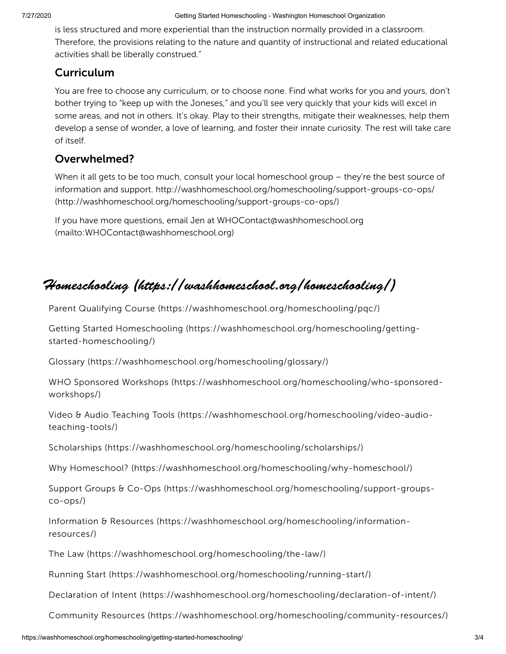is less structured and more experiential than the instruction normally provided in a classroom. Therefore, the provisions relating to the nature and quantity of instructional and related educational activities shall be liberally construed."

#### **Curriculum**

You are free to choose any curriculum, or to choose none. Find what works for you and yours, don't bother trying to "keep up with the Joneses," and you'll see very quickly that your kids will excel in some areas, and not in others. It's okay. Play to their strengths, mitigate their weaknesses, help them develop a sense of wonder, a love of learning, and foster their innate curiosity. The rest will take care of itself.

#### Overwhelmed?

When it all gets to be too much, consult your local homeschool group - they're the best source of information and support. http://washhomeschool.org/homeschooling/support-groups-co-ops/ [\(http://washhomeschool.org/homeschooling/support-groups-co-ops/\)](http://washhomeschool.org/homeschooling/support-groups-co-ops/)

If you have more questions, email Jen at WHOContact@washhomeschool.org [\(mailto:WHOContact@washhomeschool.org\)](mailto:WHOContact@washhomeschool.org)

## Homeschooling [\(https://washhomeschool.org/homeschooling/\)](https://washhomeschool.org/homeschooling/)

Parent Qualifying Course [\(https://washhomeschool.org/homeschooling/pqc/\)](https://washhomeschool.org/homeschooling/pqc/)

Getting Started Homeschooling [\(https://washhomeschool.org/homeschooling/getting](https://washhomeschool.org/homeschooling/getting-started-homeschooling/)started-homeschooling/)

Glossary [\(https://washhomeschool.org/homeschooling/glossary/\)](https://washhomeschool.org/homeschooling/glossary/)

WHO Sponsored Workshops [\(https://washhomeschool.org/homeschooling/who-sponsored](https://washhomeschool.org/homeschooling/who-sponsored-workshops/)workshops/)

Video & Audio Teaching Tools [\(https://washhomeschool.org/homeschooling/video-audio](https://washhomeschool.org/homeschooling/video-audio-teaching-tools/)teaching-tools/)

Scholarships [\(https://washhomeschool.org/homeschooling/scholarships/\)](https://washhomeschool.org/homeschooling/scholarships/)

Why Homeschool? [\(https://washhomeschool.org/homeschooling/why-homeschool/\)](https://washhomeschool.org/homeschooling/why-homeschool/)

Support Groups & Co-Ops [\(https://washhomeschool.org/homeschooling/support-groups](https://washhomeschool.org/homeschooling/support-groups-co-ops/)co-ops/)

Information & Resources [\(https://washhomeschool.org/homeschooling/information](https://washhomeschool.org/homeschooling/information-resources/)resources/)

The Law [\(https://washhomeschool.org/homeschooling/the-law/\)](https://washhomeschool.org/homeschooling/the-law/)

Running Start [\(https://washhomeschool.org/homeschooling/running-start/\)](https://washhomeschool.org/homeschooling/running-start/)

Declaration of Intent [\(https://washhomeschool.org/homeschooling/declaration-of-intent/\)](https://washhomeschool.org/homeschooling/declaration-of-intent/)

Community Resources [\(https://washhomeschool.org/homeschooling/community-resources/\)](https://washhomeschool.org/homeschooling/community-resources/)